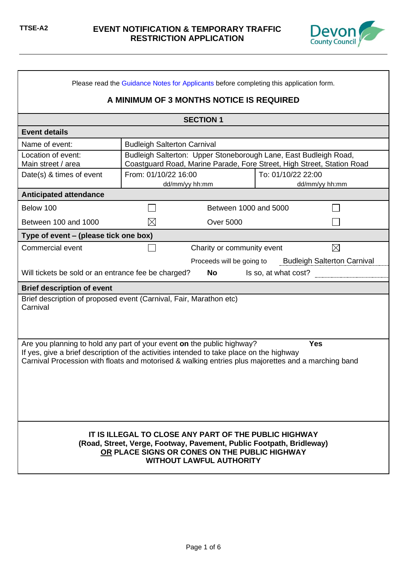

| Please read the Guidance Notes for Applicants before completing this application form.                                                                                                                                                                                    |                                    |                                                                                                                                            |                      |                                    |
|---------------------------------------------------------------------------------------------------------------------------------------------------------------------------------------------------------------------------------------------------------------------------|------------------------------------|--------------------------------------------------------------------------------------------------------------------------------------------|----------------------|------------------------------------|
|                                                                                                                                                                                                                                                                           |                                    | A MINIMUM OF 3 MONTHS NOTICE IS REQUIRED                                                                                                   |                      |                                    |
|                                                                                                                                                                                                                                                                           |                                    | <b>SECTION 1</b>                                                                                                                           |                      |                                    |
| <b>Event details</b>                                                                                                                                                                                                                                                      |                                    |                                                                                                                                            |                      |                                    |
| Name of event:                                                                                                                                                                                                                                                            | <b>Budleigh Salterton Carnival</b> |                                                                                                                                            |                      |                                    |
| Location of event:<br>Main street / area                                                                                                                                                                                                                                  |                                    | Budleigh Salterton: Upper Stoneborough Lane, East Budleigh Road,<br>Coastguard Road, Marine Parade, Fore Street, High Street, Station Road |                      |                                    |
| Date(s) & times of event                                                                                                                                                                                                                                                  | From: 01/10/22 16:00               | dd/mm/yy hh:mm                                                                                                                             | To: 01/10/22 22:00   | dd/mm/yy hh:mm                     |
| <b>Anticipated attendance</b>                                                                                                                                                                                                                                             |                                    |                                                                                                                                            |                      |                                    |
| Below 100                                                                                                                                                                                                                                                                 |                                    | Between 1000 and 5000                                                                                                                      |                      |                                    |
| Between 100 and 1000                                                                                                                                                                                                                                                      | $\boxtimes$                        | <b>Over 5000</b>                                                                                                                           |                      |                                    |
| Type of event – (please tick one box)                                                                                                                                                                                                                                     |                                    |                                                                                                                                            |                      |                                    |
| Commercial event                                                                                                                                                                                                                                                          |                                    | Charity or community event                                                                                                                 |                      | $\times$                           |
|                                                                                                                                                                                                                                                                           |                                    | Proceeds will be going to                                                                                                                  |                      | <b>Budleigh Salterton Carnival</b> |
| Will tickets be sold or an entrance fee be charged?                                                                                                                                                                                                                       |                                    | No                                                                                                                                         | Is so, at what cost? |                                    |
| <b>Brief description of event</b>                                                                                                                                                                                                                                         |                                    |                                                                                                                                            |                      |                                    |
| Brief description of proposed event (Carnival, Fair, Marathon etc)<br>Carnival                                                                                                                                                                                            |                                    |                                                                                                                                            |                      |                                    |
| Are you planning to hold any part of your event on the public highway?<br>If yes, give a brief description of the activities intended to take place on the highway<br>Carnival Procession with floats and motorised & walking entries plus majorettes and a marching band |                                    |                                                                                                                                            |                      | <b>Yes</b>                         |
| IT IS ILLEGAL TO CLOSE ANY PART OF THE PUBLIC HIGHWAY<br>(Road, Street, Verge, Footway, Pavement, Public Footpath, Bridleway)<br>OR PLACE SIGNS OR CONES ON THE PUBLIC HIGHWAY<br><b>WITHOUT LAWFUL AUTHORITY</b>                                                         |                                    |                                                                                                                                            |                      |                                    |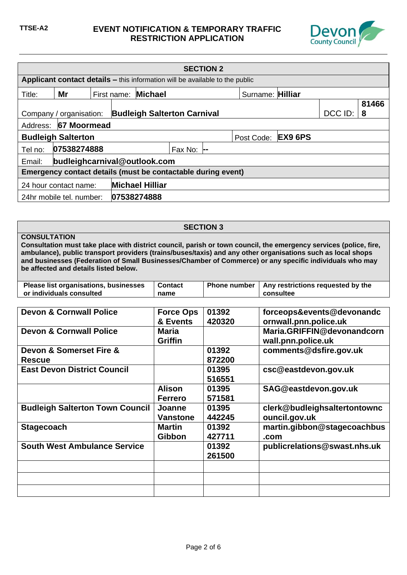

| <b>SECTION 2</b>                                |                                                                                     |  |             |                                    |                  |  |                    |         |       |
|-------------------------------------------------|-------------------------------------------------------------------------------------|--|-------------|------------------------------------|------------------|--|--------------------|---------|-------|
|                                                 | <b>Applicant contact details – this information will be available to the public</b> |  |             |                                    |                  |  |                    |         |       |
| Title:                                          | Mr                                                                                  |  | First name: | <b>Michael</b>                     |                  |  | Surname: Hilliar   |         |       |
|                                                 |                                                                                     |  |             |                                    |                  |  |                    |         | 81466 |
|                                                 | Company / organisation:                                                             |  |             | <b>Budleigh Salterton Carnival</b> |                  |  |                    | DCC ID: | 8     |
| Address:                                        | 67 Moormead                                                                         |  |             |                                    |                  |  |                    |         |       |
|                                                 | <b>Budleigh Salterton</b>                                                           |  |             |                                    |                  |  | Post Code: EX9 6PS |         |       |
| Tel no:                                         | 07538274888                                                                         |  |             |                                    | Fax No: $\vdash$ |  |                    |         |       |
| Email:                                          | budleighcarnival@outlook.com                                                        |  |             |                                    |                  |  |                    |         |       |
|                                                 | Emergency contact details (must be contactable during event)                        |  |             |                                    |                  |  |                    |         |       |
| <b>Michael Hilliar</b><br>24 hour contact name: |                                                                                     |  |             |                                    |                  |  |                    |         |       |
|                                                 | 24hr mobile tel. number:                                                            |  |             | 07538274888                        |                  |  |                    |         |       |

## **SECTION 3**

#### **CONSULTATION**

**Consultation must take place with district council, parish or town council, the emergency services (police, fire, ambulance), public transport providers (trains/buses/taxis) and any other organisations such as local shops and businesses (Federation of Small Businesses/Chamber of Commerce) or any specific individuals who may be affected and details listed below.**

| Please list organisations, businesses | <b>Contact</b> | Phone number   Any restrictions requested by the |
|---------------------------------------|----------------|--------------------------------------------------|
| or individuals consulted              | name           | consultee                                        |

| <b>Devon &amp; Cornwall Police</b>       | <b>Force Ops</b><br>& Events    | 01392<br>420320 | forceops&events@devonandc<br>ornwall.pnn.police.uk |
|------------------------------------------|---------------------------------|-----------------|----------------------------------------------------|
| <b>Devon &amp; Cornwall Police</b>       | Maria<br><b>Griffin</b>         |                 | Maria.GRIFFIN@devonandcorn<br>wall.pnn.police.uk   |
| Devon & Somerset Fire &<br><b>Rescue</b> |                                 | 01392<br>872200 | comments@dsfire.gov.uk                             |
| <b>East Devon District Council</b>       |                                 | 01395<br>516551 | csc@eastdevon.gov.uk                               |
|                                          | <b>Alison</b><br><b>Ferrero</b> | 01395<br>571581 | SAG@eastdevon.gov.uk                               |
| <b>Budleigh Salterton Town Council</b>   | Joanne<br><b>Vanstone</b>       | 01395<br>442245 | clerk@budleighsaltertontownc<br>ouncil.gov.uk      |
| <b>Stagecoach</b>                        | <b>Martin</b><br>Gibbon         | 01392<br>427711 | martin.gibbon@stagecoachbus<br>.com                |
| <b>South West Ambulance Service</b>      |                                 | 01392<br>261500 | publicrelations@swast.nhs.uk                       |
|                                          |                                 |                 |                                                    |
|                                          |                                 |                 |                                                    |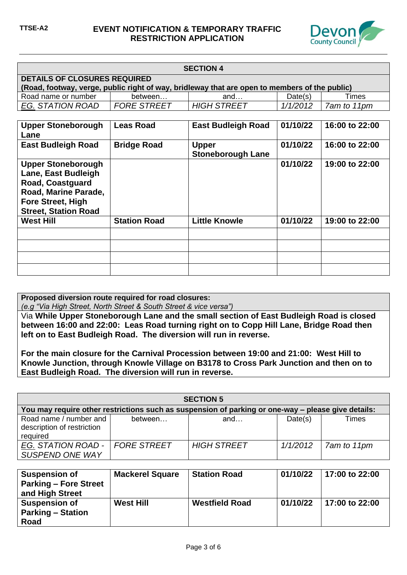

| <b>SECTION 4</b>                                                                                                                     |                    |                    |          |             |  |
|--------------------------------------------------------------------------------------------------------------------------------------|--------------------|--------------------|----------|-------------|--|
| <b>DETAILS OF CLOSURES REQUIRED</b><br>(Road, footway, verge, public right of way, bridleway that are open to members of the public) |                    |                    |          |             |  |
| Road name or number                                                                                                                  | between            | and                | Date(s)  | Times       |  |
| EG. STATION ROAD                                                                                                                     | <b>FORE STREET</b> | <b>HIGH STREET</b> | 1/1/2012 | 7am to 11pm |  |

| <b>Upper Stoneborough</b><br>Lane                                                                                                                       | <b>Leas Road</b>    | <b>East Budleigh Road</b>                | 01/10/22 | 16:00 to 22:00 |
|---------------------------------------------------------------------------------------------------------------------------------------------------------|---------------------|------------------------------------------|----------|----------------|
| <b>East Budleigh Road</b>                                                                                                                               | <b>Bridge Road</b>  | <b>Upper</b><br><b>Stoneborough Lane</b> | 01/10/22 | 16:00 to 22:00 |
| <b>Upper Stoneborough</b><br>Lane, East Budleigh<br>Road, Coastguard<br>Road, Marine Parade,<br><b>Fore Street, High</b><br><b>Street, Station Road</b> |                     |                                          | 01/10/22 | 19:00 to 22:00 |
| <b>West Hill</b>                                                                                                                                        | <b>Station Road</b> | <b>Little Knowle</b>                     | 01/10/22 | 19:00 to 22:00 |
|                                                                                                                                                         |                     |                                          |          |                |
|                                                                                                                                                         |                     |                                          |          |                |
|                                                                                                                                                         |                     |                                          |          |                |
|                                                                                                                                                         |                     |                                          |          |                |

**Proposed diversion route required for road closures:** 

*(e.g "Via High Street, North Street & South Street & vice versa")*

Via **While Upper Stoneborough Lane and the small section of East Budleigh Road is closed between 16:00 and 22:00: Leas Road turning right on to Copp Hill Lane, Bridge Road then left on to East Budleigh Road. The diversion will run in reverse.**

**For the main closure for the Carnival Procession between 19:00 and 21:00: West Hill to Knowle Junction, through Knowle Village on B3178 to Cross Park Junction and then on to East Budleigh Road. The diversion will run in reverse.**

| <b>SECTION 5</b>                                                                                   |                    |                    |          |             |  |
|----------------------------------------------------------------------------------------------------|--------------------|--------------------|----------|-------------|--|
| You may require other restrictions such as suspension of parking or one-way – please give details: |                    |                    |          |             |  |
| Road name / number and<br>description of restriction<br>required                                   | between            | and                | Date(s)  | Times       |  |
| EG. STATION ROAD -<br>SUSPEND ONE WAY                                                              | <b>FORE STREET</b> | <b>HIGH STREET</b> | 1/1/2012 | 7am to 11pm |  |

| <b>Suspension of</b><br><b>Parking - Fore Street</b><br>and High Street | <b>Mackerel Square</b> | <b>Station Road</b>   | 01/10/22 | 17:00 to 22:00 |
|-------------------------------------------------------------------------|------------------------|-----------------------|----------|----------------|
| <b>Suspension of</b><br><b>Parking – Station</b><br>Road                | <b>West Hill</b>       | <b>Westfield Road</b> | 01/10/22 | 17:00 to 22:00 |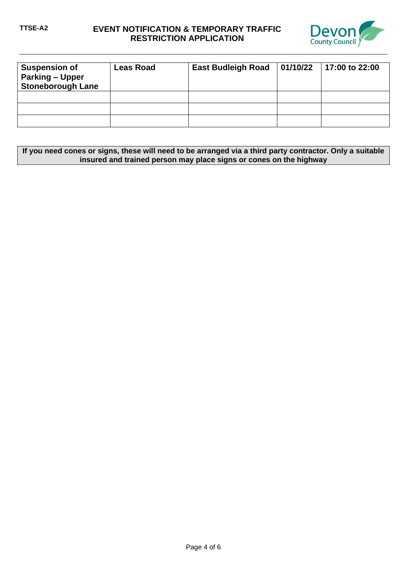# **TTSE-A2 EVENT NOTIFICATION & TEMPORARY TRAFFIC RESTRICTION APPLICATION**



| <b>Suspension of</b><br><b>Parking - Upper</b><br><b>Stoneborough Lane</b> | <b>Leas Road</b> | <b>East Budleigh Road</b> | 01/10/22 | 17:00 to 22:00 |
|----------------------------------------------------------------------------|------------------|---------------------------|----------|----------------|
|                                                                            |                  |                           |          |                |
|                                                                            |                  |                           |          |                |
|                                                                            |                  |                           |          |                |

| If you need cones or signs, these will need to be arranged via a third party contractor. Only a suitable |
|----------------------------------------------------------------------------------------------------------|
| insured and trained person may place signs or cones on the highway                                       |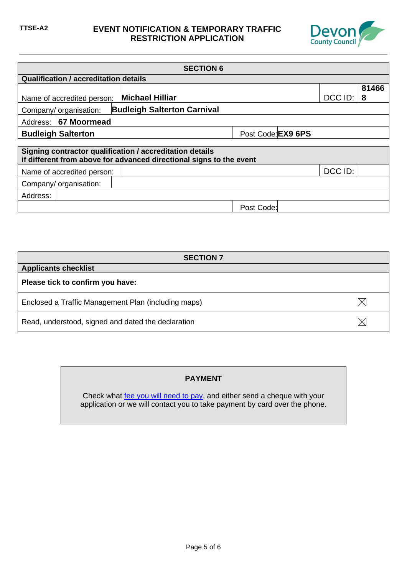## **TTSE-A2 EVENT NOTIFICATION & TEMPORARY TRAFFIC RESTRICTION APPLICATION**



| <b>SECTION 6</b>                                         |                                                                     |                    |         |       |  |
|----------------------------------------------------------|---------------------------------------------------------------------|--------------------|---------|-------|--|
| <b>Qualification / accreditation details</b>             |                                                                     |                    |         |       |  |
|                                                          |                                                                     |                    |         | 81466 |  |
| Name of accredited person:                               | <b>Michael Hilliar</b>                                              |                    | DCC ID: | -8    |  |
| Company/ organisation:                                   | <b>Budleigh Salterton Carnival</b>                                  |                    |         |       |  |
| 67 Moormead<br>Address:                                  |                                                                     |                    |         |       |  |
| <b>Budleigh Salterton</b>                                |                                                                     | Post Code: EX9 6PS |         |       |  |
|                                                          |                                                                     |                    |         |       |  |
| Signing contractor qualification / accreditation details | if different from above for advanced directional signs to the event |                    |         |       |  |
| Name of accredited person:                               |                                                                     |                    | DCC ID: |       |  |
| Company/ organisation:                                   |                                                                     |                    |         |       |  |
| Address:                                                 |                                                                     |                    |         |       |  |
|                                                          |                                                                     | Post Code:         |         |       |  |

| <b>SECTION 7</b>                                    |  |
|-----------------------------------------------------|--|
| <b>Applicants checklist</b>                         |  |
| Please tick to confirm you have:                    |  |
| Enclosed a Traffic Management Plan (including maps) |  |
| Read, understood, signed and dated the declaration  |  |

## **PAYMENT**

Check what [fee you will need to pay,](https://new.devon.gov.uk/roadsandtransport/make-a-request/special-events/temporary-traffic-orders-for-events/) and either send a cheque with your application or we will contact you to take payment by card over the phone.